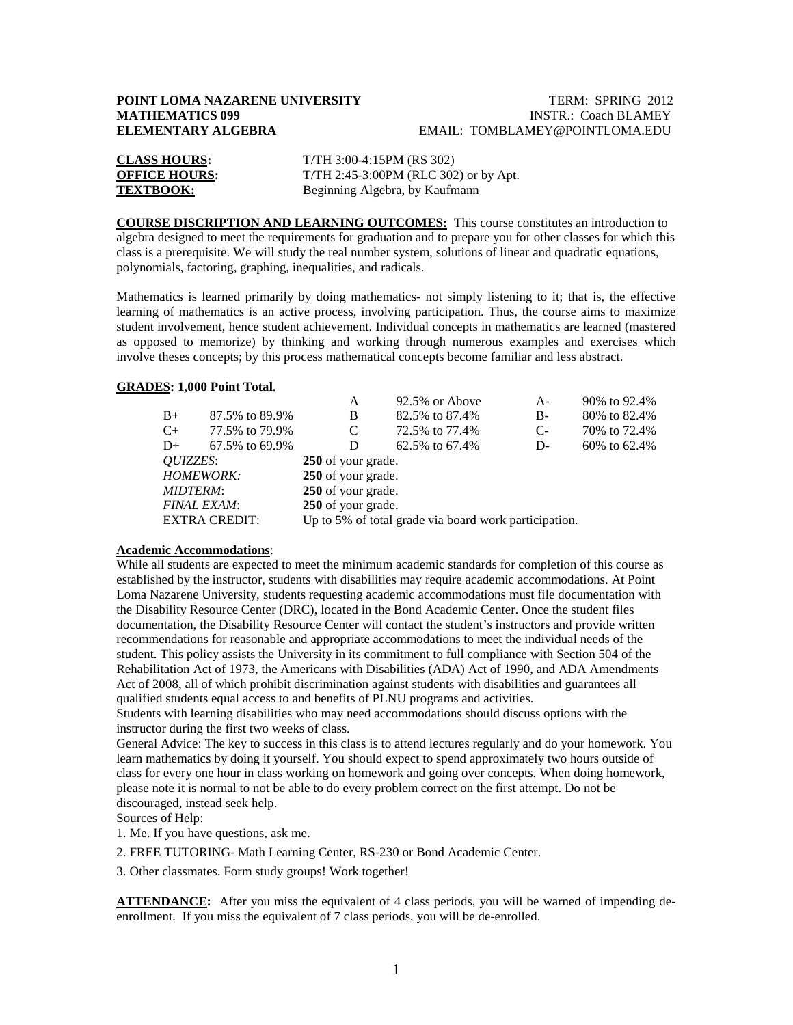## **POINT LOMA NAZARENE UNIVERSITY TERM: SPRING 2012**<br>**MATHEMATICS 099** INSTR.: Coach BLAMEY **INSTR.: Coach BLAMEY ELEMENTARY ALGEBRA** EMAIL: TOMBLAMEY@POINTLOMA.EDU

| <b>CLASS HOURS:</b>  | $T/TH$ 3:00-4:15PM (RS 302)           |
|----------------------|---------------------------------------|
| <b>OFFICE HOURS:</b> | T/TH 2:45-3:00PM (RLC 302) or by Apt. |
| <b>TEXTBOOK:</b>     | Beginning Algebra, by Kaufmann        |

**COURSE DISCRIPTION AND LEARNING OUTCOMES:** This course constitutes an introduction to algebra designed to meet the requirements for graduation and to prepare you for other classes for which this class is a prerequisite. We will study the real number system, solutions of linear and quadratic equations, polynomials, factoring, graphing, inequalities, and radicals.

Mathematics is learned primarily by doing mathematics- not simply listening to it; that is, the effective learning of mathematics is an active process, involving participation. Thus, the course aims to maximize student involvement, hence student achievement. Individual concepts in mathematics are learned (mastered as opposed to memorize) by thinking and working through numerous examples and exercises which involve theses concepts; by this process mathematical concepts become familiar and less abstract.

### **GRADES : 1,000 Point Total.**

|                    |                      | A                                                     | 92.5% or Above | $A -$ | 90% to 92.4%   |  |  |
|--------------------|----------------------|-------------------------------------------------------|----------------|-------|----------------|--|--|
| $B+$               | 87.5% to 89.9%       | B                                                     | 82.5% to 87.4% | B-    | 80% to 82.4%   |  |  |
| $C_{+}$            | 77.5% to 79.9%       | C                                                     | 72.5% to 77.4% | $C-$  | 70\% to 72.4\% |  |  |
| $D+$               | 67.5% to 69.9%       | D                                                     | 62.5% to 67.4% | D-    | 60\% to 62.4\% |  |  |
| <i>OUIZZES</i> :   |                      | 250 of your grade.                                    |                |       |                |  |  |
| <b>HOMEWORK:</b>   |                      | 250 of your grade.                                    |                |       |                |  |  |
| <b>MIDTERM:</b>    |                      | 250 of your grade.                                    |                |       |                |  |  |
| <b>FINAL EXAM:</b> |                      | 250 of your grade.                                    |                |       |                |  |  |
|                    | <b>EXTRA CREDIT:</b> | Up to 5% of total grade via board work participation. |                |       |                |  |  |
|                    |                      |                                                       |                |       |                |  |  |

### **Academic Accommodations** :

While all students are expected to meet the minimum academic standards for completion of this course as established by the instructor, students with disabilities may require academic accommodations. At Point Loma Nazarene University, students requesting academic accommodations must file documentation with the Disability Resource Center (DRC), located in the Bond Academic Center. Once the student files documentation, the Disability Resource Center will contact the student's instructors and provide written recommendations for reasonable and appropriate accommodations to meet the individual needs of the student. This policy assists the University in its commitment to full compliance with Section 504 of the Rehabilitation Act of 1973, the Americans with Disabilities (ADA) Act of 1990, and ADA Amendments Act of 2008, all of which prohibit discrimination against students with disabilities and guarantees all qualified students equal access to and benefits of PLNU programs and activities.

Students with learning disabilities who may need accommodations should discuss options with the instructor during the first two weeks of class.

General Advice: The key to success in this class is to attend lectures regularly and do your homework. You learn mathematics by doing it yourself. You should expect to spend approximately two hours outside of class for every one hour in class working on homework and going over concepts. When doing homework, please note it is normal to not be able to do every problem correct on the first attempt. Do not be discouraged, instead seek help.

Sources of Help:

1. Me. If you have questions, ask me.

2. FREE TUTORING- Math Learning Center, RS-230 or Bond Academic Center.

3. Other classmates. Form study groups! Work together!

**ATTENDANCE:** After you miss the equivalent of 4 class periods, you will be warned of impending deenrollment. If you miss the equivalent of 7 class periods, you will be de-enrolled.